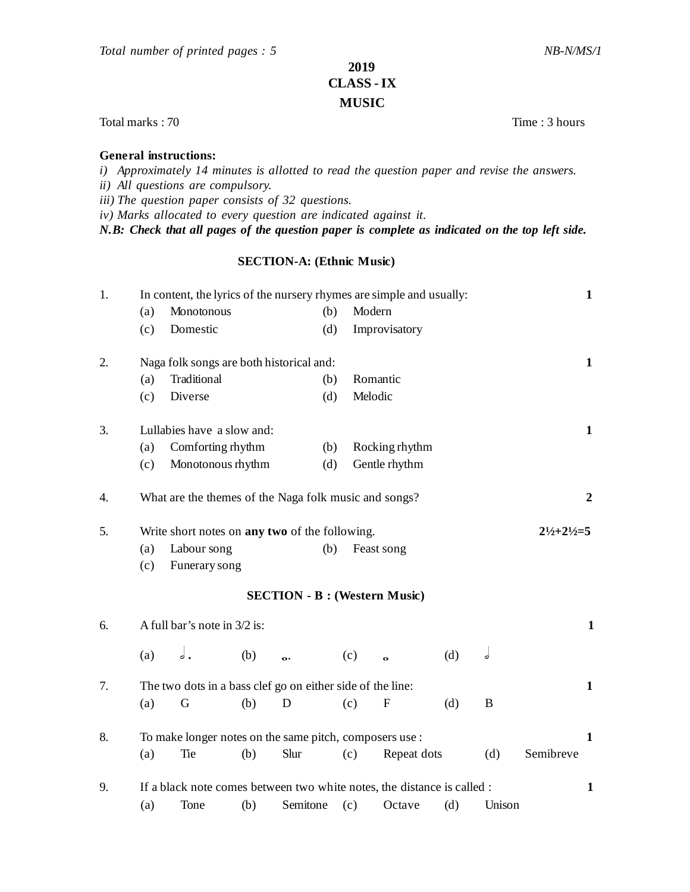## **2019 CLASS - IX MUSIC**

Total marks : 70 Time : 3 hours

## **General instructions:**

*i) Approximately 14 minutes is allotted to read the question paper and revise the answers. ii) All questions are compulsory.*

*iii) The question paper consists of 32 questions.*

*iv) Marks allocated to every question are indicated against it.*

*N.B: Check that all pages of the question paper is complete as indicated on the top left side.*

## **SECTION-A: (Ethnic Music)**

| 1. | In content, the lyrics of the nursery rhymes are simple and usually:                |                                                                           |     |          |     |                                      |     |        |           |  |
|----|-------------------------------------------------------------------------------------|---------------------------------------------------------------------------|-----|----------|-----|--------------------------------------|-----|--------|-----------|--|
|    | (a)                                                                                 | Monotonous                                                                |     | (b)      |     | Modern                               |     |        |           |  |
|    | (c)                                                                                 | Domestic                                                                  |     | (d)      |     | Improvisatory                        |     |        |           |  |
| 2. | Naga folk songs are both historical and:                                            | $\mathbf{1}$                                                              |     |          |     |                                      |     |        |           |  |
|    | (a)                                                                                 | Traditional                                                               |     | (b)      |     | Romantic                             |     |        |           |  |
|    | (c)                                                                                 | Diverse                                                                   |     | (d)      |     | Melodic                              |     |        |           |  |
| 3. | Lullabies have a slow and:                                                          |                                                                           |     |          |     |                                      |     |        |           |  |
|    | (a)                                                                                 | Comforting rhythm                                                         |     |          | (b) | Rocking rhythm                       |     |        |           |  |
|    | (c)                                                                                 | Monotonous rhythm                                                         |     |          | (d) | Gentle rhythm                        |     |        |           |  |
| 4. |                                                                                     | What are the themes of the Naga folk music and songs?<br>$\boldsymbol{2}$ |     |          |     |                                      |     |        |           |  |
| 5. | $2\frac{1}{2} + 2\frac{1}{2} = 5$<br>Write short notes on any two of the following. |                                                                           |     |          |     |                                      |     |        |           |  |
|    | (a)                                                                                 | Labour song                                                               |     | (b)      |     | Feast song                           |     |        |           |  |
|    | (c)                                                                                 | Funerary song                                                             |     |          |     |                                      |     |        |           |  |
|    |                                                                                     |                                                                           |     |          |     | <b>SECTION - B : (Western Music)</b> |     |        |           |  |
| 6. | A full bar's note in 3/2 is:                                                        | $\mathbf{1}$                                                              |     |          |     |                                      |     |        |           |  |
|    | (a)                                                                                 | ه ه                                                                       | (b) | o.       | (c) | $\ddot{\mathbf{o}}$                  | (d) | d      |           |  |
| 7. | The two dots in a bass clef go on either side of the line:                          |                                                                           |     |          |     |                                      |     |        |           |  |
|    | (a)                                                                                 | G                                                                         | (b) | D        | (c) | $\mathbf{F}$                         | (d) | B      |           |  |
| 8. | To make longer notes on the same pitch, composers use :                             |                                                                           |     |          |     |                                      |     |        |           |  |
|    | (a)                                                                                 | Tie                                                                       | (b) | Slur     | (c) | Repeat dots                          |     | (d)    | Semibreve |  |
| 9. | If a black note comes between two white notes, the distance is called :             |                                                                           |     |          |     |                                      |     |        |           |  |
|    | (a)                                                                                 | Tone                                                                      | (b) | Semitone | (c) | Octave                               | (d) | Unison |           |  |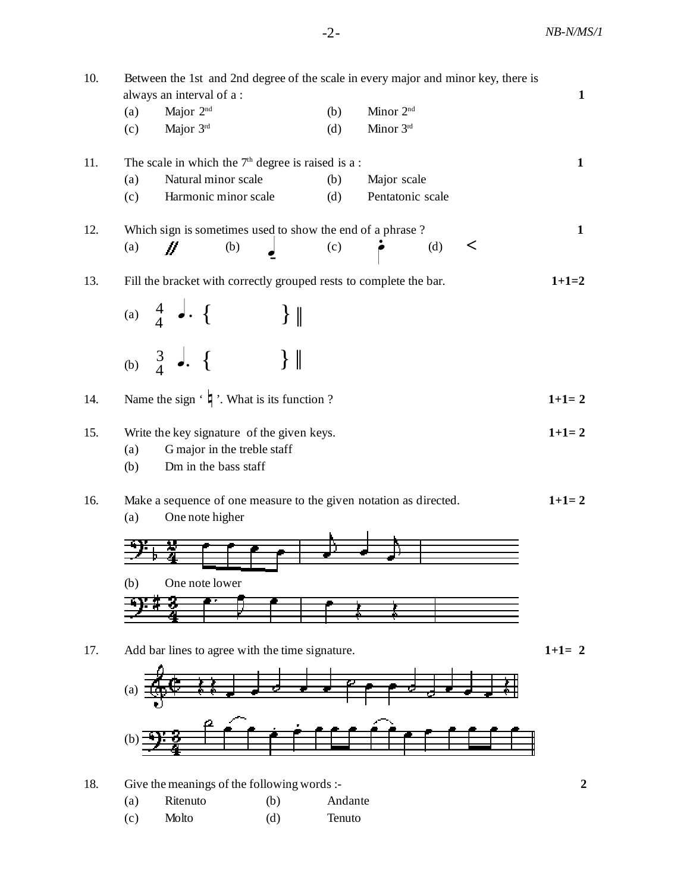| 10. | Between the 1st and 2nd degree of the scale in every major and minor key, there is |     |                       |              |  |  |  |  |
|-----|------------------------------------------------------------------------------------|-----|-----------------------|--------------|--|--|--|--|
|     | always an interval of a:                                                           |     |                       | $\mathbf{1}$ |  |  |  |  |
|     | Major 2 <sup>nd</sup><br>(a)                                                       | (b) | Minor 2 <sup>nd</sup> |              |  |  |  |  |
|     | Major 3rd<br>(c)                                                                   | (d) | Minor 3rd             |              |  |  |  |  |
| 11. | The scale in which the $7th$ degree is raised is a:                                |     |                       |              |  |  |  |  |
|     | Natural minor scale<br>(a)                                                         | (b) | Major scale           | $\mathbf{1}$ |  |  |  |  |
|     | Harmonic minor scale<br>(c)                                                        | (d) | Pentatonic scale      |              |  |  |  |  |
| 12. | Which sign is sometimes used to show the end of a phrase?                          |     |                       |              |  |  |  |  |
|     | //<br>(b)<br>(a)                                                                   | (c) | (d)<br>$\,<\,$        | $\mathbf{1}$ |  |  |  |  |
|     |                                                                                    |     |                       | $1+1=2$      |  |  |  |  |
| 13. | Fill the bracket with correctly grouped rests to complete the bar.                 |     |                       |              |  |  |  |  |
|     | (a) $\begin{bmatrix} 4 & 1 \\ 4 & 1 \end{bmatrix}$ .<br>$\vert \vert$              |     |                       |              |  |  |  |  |
|     |                                                                                    |     |                       |              |  |  |  |  |
|     | (b) $\begin{matrix} 3 \\ 4 \end{matrix}$ . {                                       |     |                       |              |  |  |  |  |
|     | $\vert \vert$                                                                      |     |                       |              |  |  |  |  |
| 14. | Name the sign $\cdot$ $\sharp$ $\cdot$ . What is its function ?                    |     |                       | $1+1=2$      |  |  |  |  |
|     |                                                                                    |     |                       |              |  |  |  |  |
| 15. | Write the key signature of the given keys.                                         |     |                       |              |  |  |  |  |
|     | G major in the treble staff<br>(a)                                                 |     |                       |              |  |  |  |  |
|     | Dm in the bass staff<br>(b)                                                        |     |                       |              |  |  |  |  |
| 16. | Make a sequence of one measure to the given notation as directed.                  |     |                       |              |  |  |  |  |
|     | (a)<br>One note higher                                                             |     |                       | $1+1=2$      |  |  |  |  |
|     |                                                                                    |     |                       |              |  |  |  |  |
|     |                                                                                    |     |                       |              |  |  |  |  |
|     | One note lower<br>(b)                                                              |     |                       |              |  |  |  |  |
|     |                                                                                    |     |                       |              |  |  |  |  |
|     |                                                                                    |     |                       |              |  |  |  |  |
|     |                                                                                    |     |                       | $1+1=2$      |  |  |  |  |
| 17. | Add bar lines to agree with the time signature.                                    |     |                       |              |  |  |  |  |
|     |                                                                                    |     |                       |              |  |  |  |  |
|     |                                                                                    |     |                       |              |  |  |  |  |
|     |                                                                                    |     |                       |              |  |  |  |  |
|     |                                                                                    |     |                       |              |  |  |  |  |
|     |                                                                                    |     |                       |              |  |  |  |  |
| 18. | Give the meanings of the following words :-                                        |     |                       |              |  |  |  |  |

(c) Molto (d) Tenuto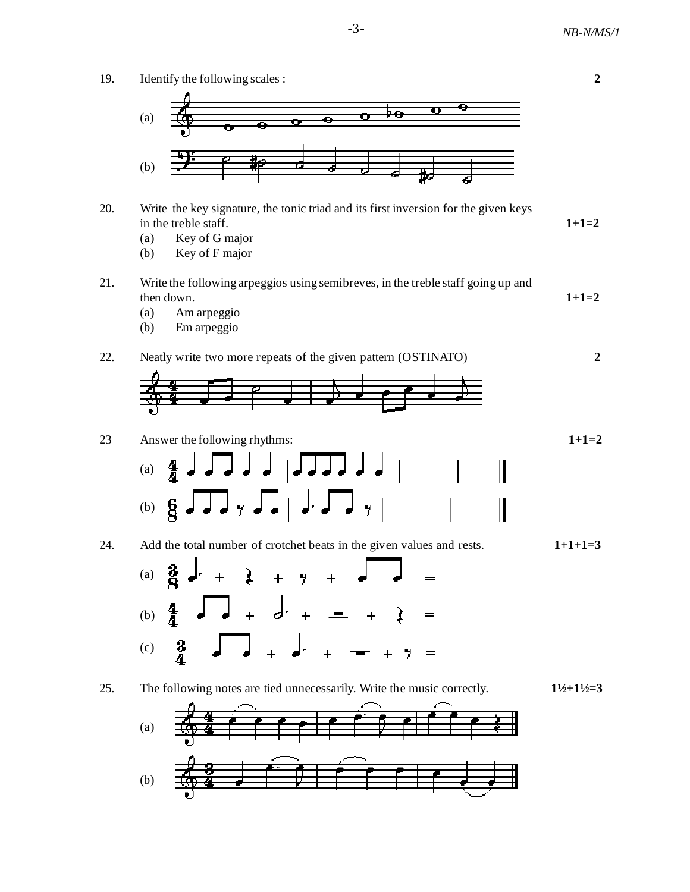

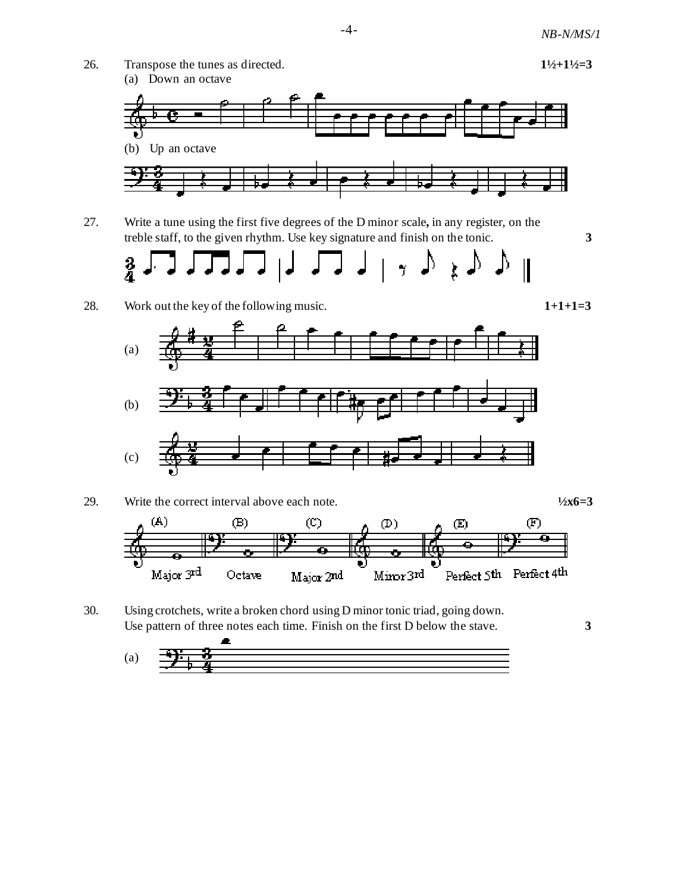

27. Write a tune using the first five degrees of the D minor scale**,** in any register, on the treble staff, to the given rhythm. Use key signature and finish on the tonic. **3**



28. Work out the key of the following music. 1+1+1=3







30. Using crotchets, write a broken chord using D minor tonic triad, going down. Use pattern of three notes each time. Finish on the first D below the stave. **3**

$$
(a) \quad \frac{1}{\frac{1}{\sqrt{1+\frac{3}{2}}}} \qquad \frac{2}{\sqrt{1+\frac{3}{2}}}
$$